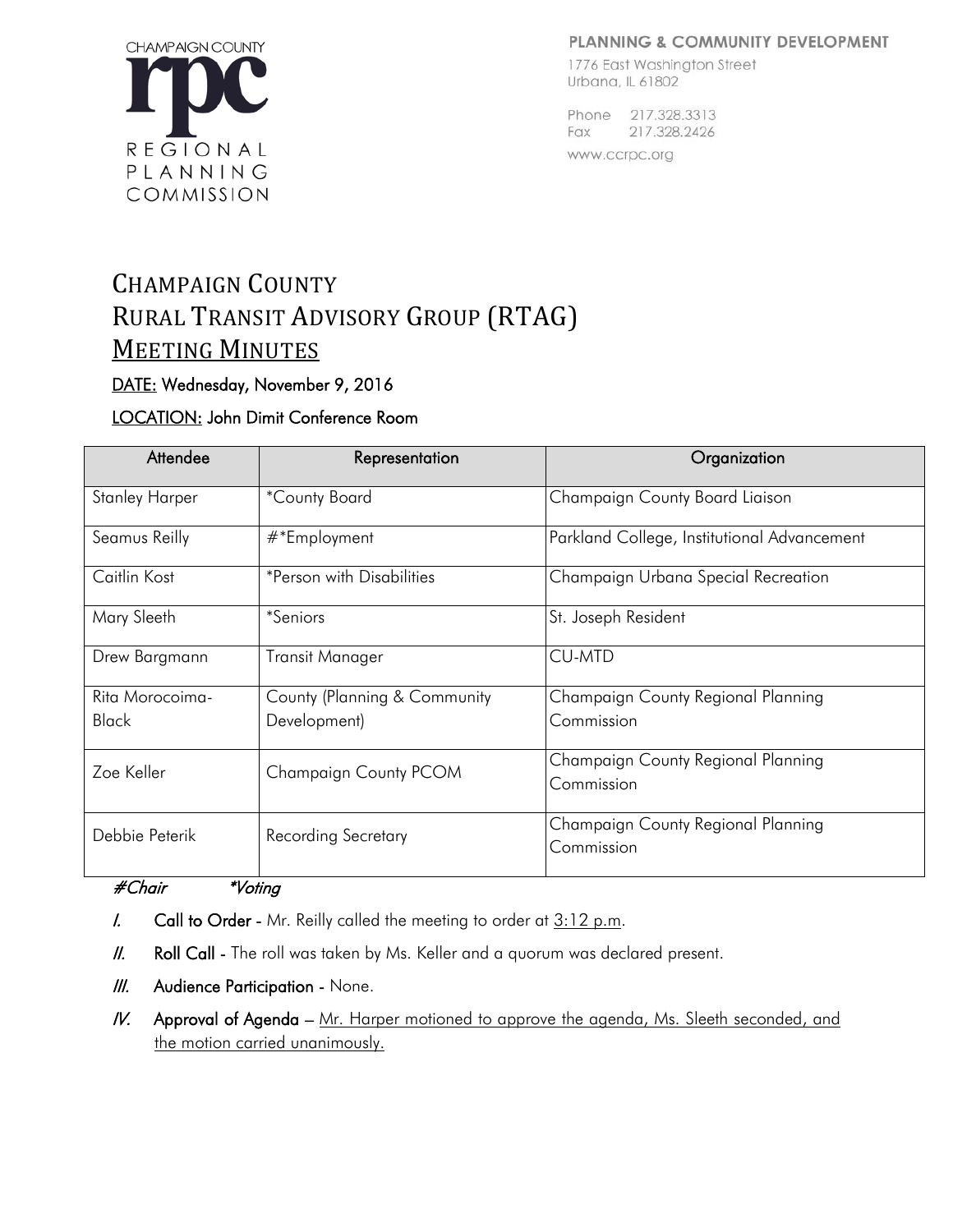#### PLANNING & COMMUNITY DEVELOPMENT



#### 1776 East Washington Street Urbana, IL 61802

Phone 217,328,3313 Fax 217.328.2426 www.ccrpc.org

# CHAMPAIGN COUNTY RURAL TRANSIT ADVISORY GROUP (RTAG) MEETING MINUTES

# DATE: Wednesday, November 9, 2016

# LOCATION: John Dimit Conference Room

| Attendee              | Representation                   | Organization                                |
|-----------------------|----------------------------------|---------------------------------------------|
| <b>Stanley Harper</b> | *County Board                    | Champaign County Board Liaison              |
| Seamus Reilly         | $#$ *Employment                  | Parkland College, Institutional Advancement |
| Caitlin Kost          | <i>*Person with Disabilities</i> | Champaign Urbana Special Recreation         |
| Mary Sleeth           | <i>*Seniors</i>                  | St. Joseph Resident                         |
| Drew Bargmann         | Transit Manager                  | <b>CU-MTD</b>                               |
| Rita Morocoima-       | County (Planning & Community     | Champaign County Regional Planning          |
| <b>Black</b>          | Development)                     | Commission                                  |
| Zoe Keller            | Champaign County PCOM            | Champaign County Regional Planning          |
|                       |                                  | Commission                                  |
| Debbie Peterik        | <b>Recording Secretary</b>       | Champaign County Regional Planning          |
|                       |                                  | Commission                                  |

#Chair \*Voting

- I. Call to Order Mr. Reilly called the meeting to order at  $3:12$  p.m.
- II. Roll Call The roll was taken by Ms. Keller and a quorum was declared present.
- **III.** Audience Participation None.
- IV. Approval of Agenda Mr. Harper motioned to approve the agenda, Ms. Sleeth seconded, and the motion carried unanimously.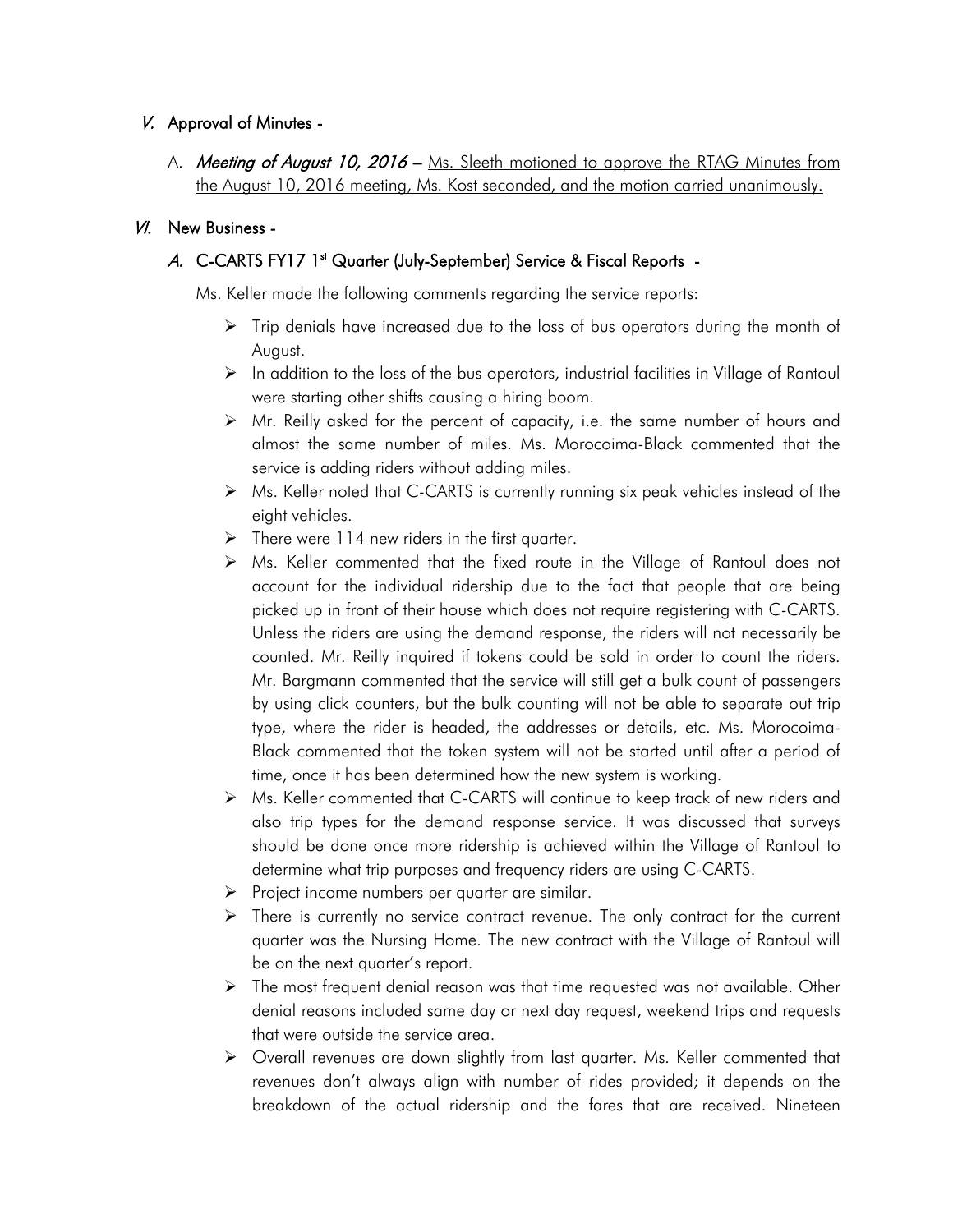# V. Approval of Minutes -

A. Meeting of August 10, 2016 – Ms. Sleeth motioned to approve the RTAG Minutes from the August 10, 2016 meeting, Ms. Kost seconded, and the motion carried unanimously.

## VI. New Business -

# A. C-CARTS FY17 1st Quarter (July-September) Service & Fiscal Reports -

Ms. Keller made the following comments regarding the service reports:

- $\triangleright$  Trip denials have increased due to the loss of bus operators during the month of August.
- $\triangleright$  In addition to the loss of the bus operators, industrial facilities in Village of Rantoul were starting other shifts causing a hiring boom.
- $\triangleright$  Mr. Reilly asked for the percent of capacity, i.e. the same number of hours and almost the same number of miles. Ms. Morocoima-Black commented that the service is adding riders without adding miles.
- $\triangleright$  Ms. Keller noted that C-CARTS is currently running six peak vehicles instead of the eight vehicles.
- $\triangleright$  There were 114 new riders in the first quarter.
- Ms. Keller commented that the fixed route in the Village of Rantoul does not account for the individual ridership due to the fact that people that are being picked up in front of their house which does not require registering with C-CARTS. Unless the riders are using the demand response, the riders will not necessarily be counted. Mr. Reilly inquired if tokens could be sold in order to count the riders. Mr. Bargmann commented that the service will still get a bulk count of passengers by using click counters, but the bulk counting will not be able to separate out trip type, where the rider is headed, the addresses or details, etc. Ms. Morocoima-Black commented that the token system will not be started until after a period of time, once it has been determined how the new system is working.
- ▶ Ms. Keller commented that C-CARTS will continue to keep track of new riders and also trip types for the demand response service. It was discussed that surveys should be done once more ridership is achieved within the Village of Rantoul to determine what trip purposes and frequency riders are using C-CARTS.
- $\triangleright$  Project income numbers per quarter are similar.
- $\triangleright$  There is currently no service contract revenue. The only contract for the current quarter was the Nursing Home. The new contract with the Village of Rantoul will be on the next quarter's report.
- $\triangleright$  The most frequent denial reason was that time requested was not available. Other denial reasons included same day or next day request, weekend trips and requests that were outside the service area.
- Overall revenues are down slightly from last quarter. Ms. Keller commented that revenues don't always align with number of rides provided; it depends on the breakdown of the actual ridership and the fares that are received. Nineteen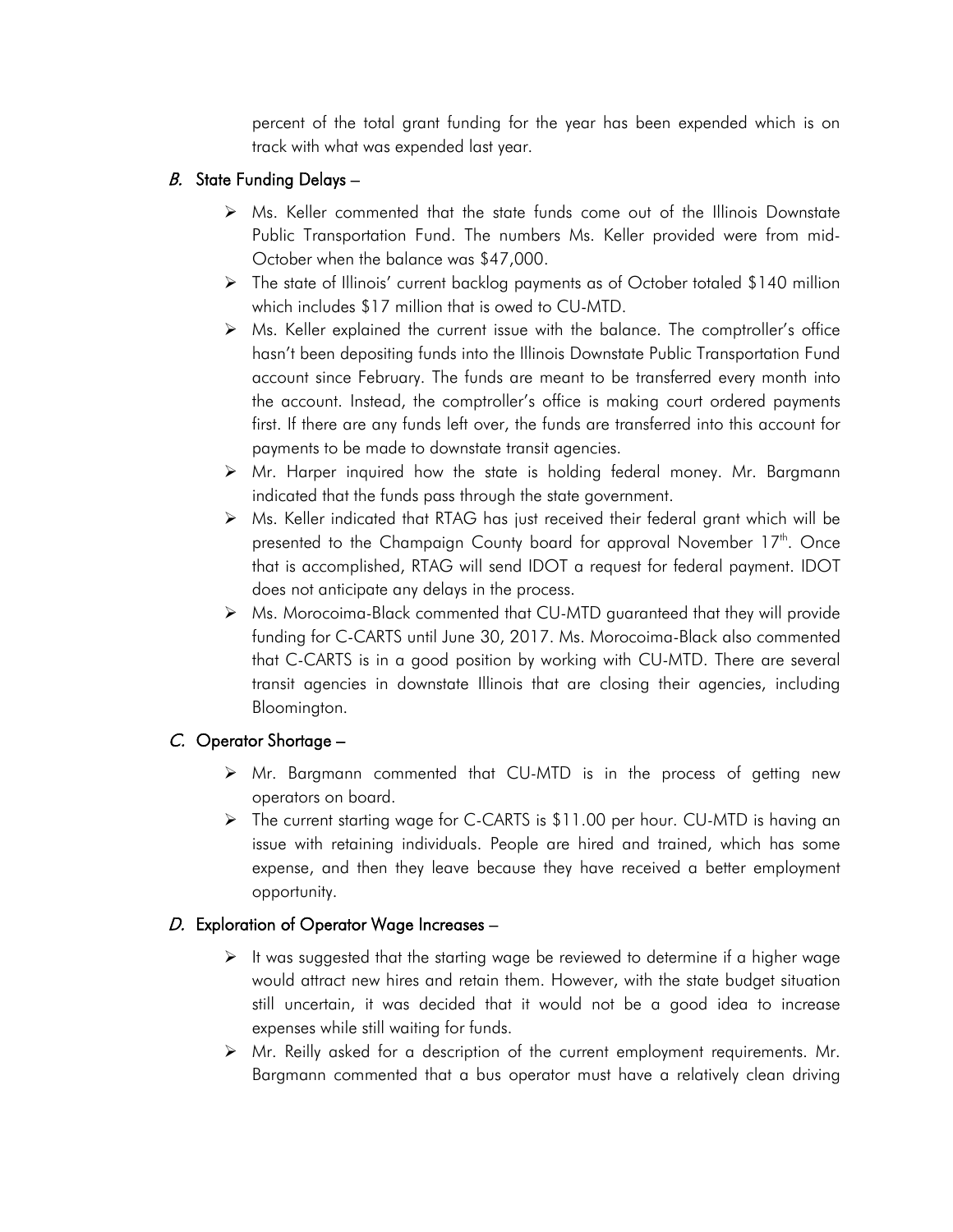percent of the total grant funding for the year has been expended which is on track with what was expended last year.

# B. State Funding Delays  $-$

- Ms. Keller commented that the state funds come out of the Illinois Downstate Public Transportation Fund. The numbers Ms. Keller provided were from mid-October when the balance was \$47,000.
- The state of Illinois' current backlog payments as of October totaled \$140 million which includes \$17 million that is owed to CU-MTD.
- $\triangleright$  Ms. Keller explained the current issue with the balance. The comptroller's office hasn't been depositing funds into the Illinois Downstate Public Transportation Fund account since February. The funds are meant to be transferred every month into the account. Instead, the comptroller's office is making court ordered payments first. If there are any funds left over, the funds are transferred into this account for payments to be made to downstate transit agencies.
- Mr. Harper inquired how the state is holding federal money. Mr. Bargmann indicated that the funds pass through the state government.
- $\triangleright$  Ms. Keller indicated that RTAG has just received their federal grant which will be presented to the Champaign County board for approval November 17<sup>th</sup>. Once that is accomplished, RTAG will send IDOT a request for federal payment. IDOT does not anticipate any delays in the process.
- Ms. Morocoima-Black commented that CU-MTD guaranteed that they will provide funding for C-CARTS until June 30, 2017. Ms. Morocoima-Black also commented that C-CARTS is in a good position by working with CU-MTD. There are several transit agencies in downstate Illinois that are closing their agencies, including Bloomington.

# C. Operator Shortage –

- $\triangleright$  Mr. Bargmann commented that CU-MTD is in the process of getting new operators on board.
- The current starting wage for C-CARTS is \$11.00 per hour. CU-MTD is having an issue with retaining individuals. People are hired and trained, which has some expense, and then they leave because they have received a better employment opportunity.

# D. Exploration of Operator Wage Increases  $-$

- $\triangleright$  It was suggested that the starting wage be reviewed to determine if a higher wage would attract new hires and retain them. However, with the state budget situation still uncertain, it was decided that it would not be a good idea to increase expenses while still waiting for funds.
- Mr. Reilly asked for a description of the current employment requirements. Mr. Bargmann commented that a bus operator must have a relatively clean driving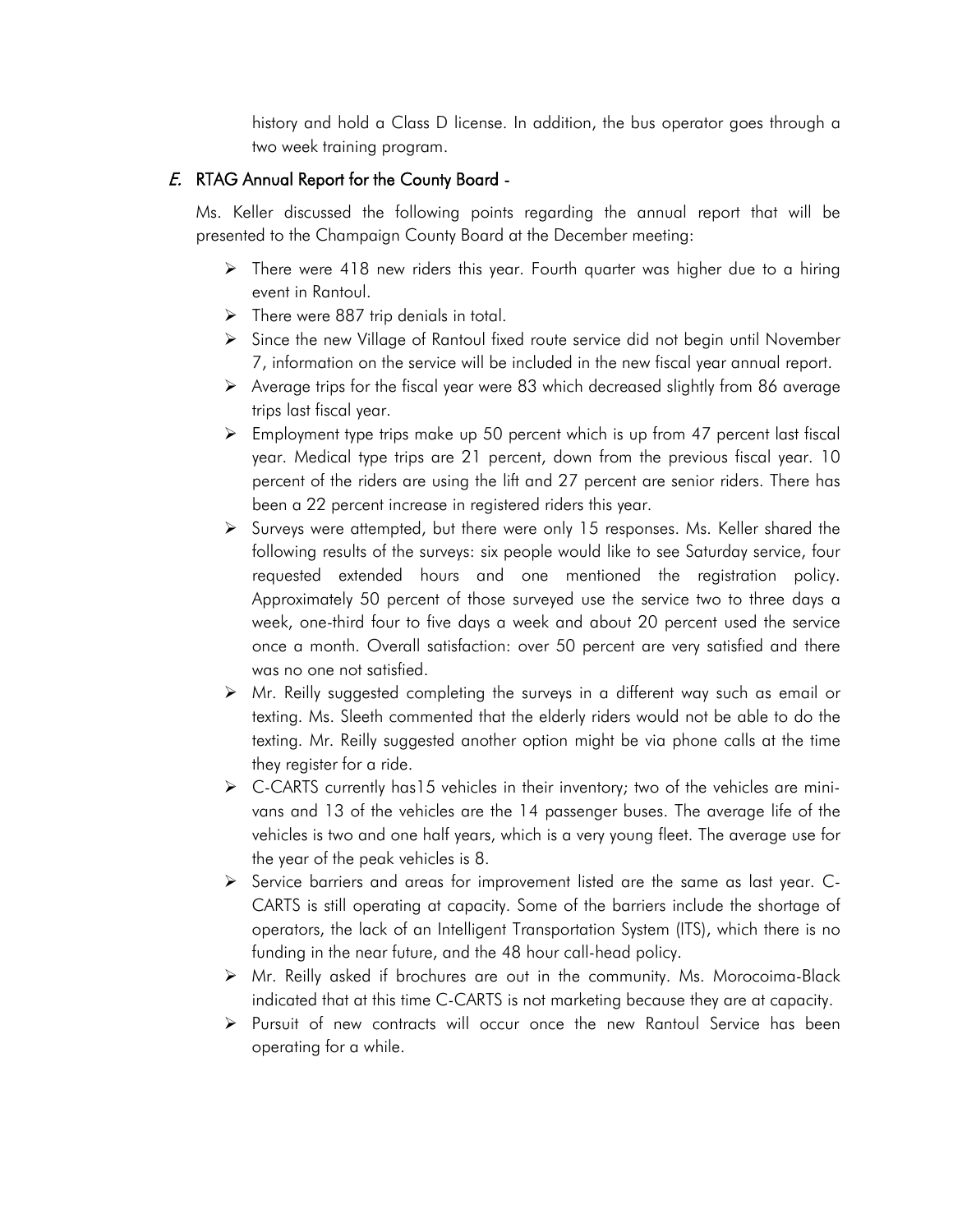history and hold a Class D license. In addition, the bus operator goes through a two week training program.

# E. RTAG Annual Report for the County Board -

Ms. Keller discussed the following points regarding the annual report that will be presented to the Champaign County Board at the December meeting:

- $\triangleright$  There were 418 new riders this year. Fourth quarter was higher due to a hiring event in Rantoul.
- $\triangleright$  There were 887 trip denials in total.
- Since the new Village of Rantoul fixed route service did not begin until November 7, information on the service will be included in the new fiscal year annual report.
- $\triangleright$  Average trips for the fiscal year were 83 which decreased slightly from 86 average trips last fiscal year.
- $\triangleright$  Employment type trips make up 50 percent which is up from 47 percent last fiscal year. Medical type trips are 21 percent, down from the previous fiscal year. 10 percent of the riders are using the lift and 27 percent are senior riders. There has been a 22 percent increase in registered riders this year.
- $\triangleright$  Surveys were attempted, but there were only 15 responses. Ms. Keller shared the following results of the surveys: six people would like to see Saturday service, four requested extended hours and one mentioned the registration policy. Approximately 50 percent of those surveyed use the service two to three days a week, one-third four to five days a week and about 20 percent used the service once a month. Overall satisfaction: over 50 percent are very satisfied and there was no one not satisfied.
- $\triangleright$  Mr. Reilly suggested completing the surveys in a different way such as email or texting. Ms. Sleeth commented that the elderly riders would not be able to do the texting. Mr. Reilly suggested another option might be via phone calls at the time they register for a ride.
- $\triangleright$  C-CARTS currently has15 vehicles in their inventory; two of the vehicles are minivans and 13 of the vehicles are the 14 passenger buses. The average life of the vehicles is two and one half years, which is a very young fleet. The average use for the year of the peak vehicles is 8.
- $\triangleright$  Service barriers and areas for improvement listed are the same as last year. C-CARTS is still operating at capacity. Some of the barriers include the shortage of operators, the lack of an Intelligent Transportation System (ITS), which there is no funding in the near future, and the 48 hour call-head policy.
- $\triangleright$  Mr. Reilly asked if brochures are out in the community. Ms. Morocoima-Black indicated that at this time C-CARTS is not marketing because they are at capacity.
- $\triangleright$  Pursuit of new contracts will occur once the new Rantoul Service has been operating for a while.